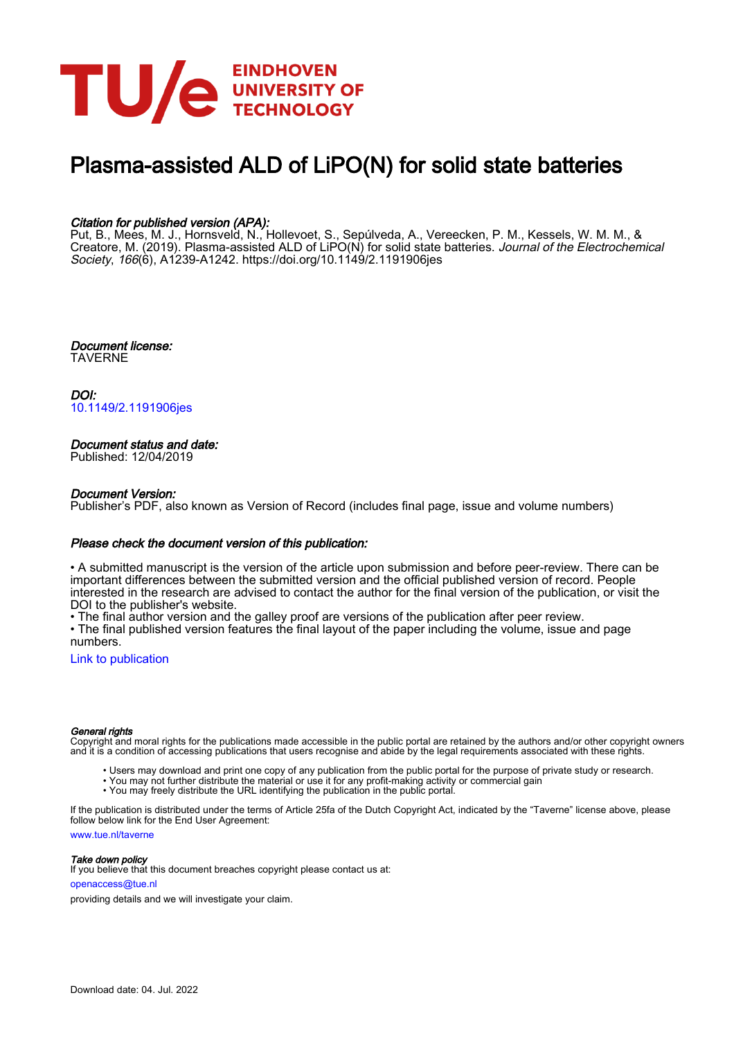

# Plasma-assisted ALD of LiPO(N) for solid state batteries

### Citation for published version (APA):

Put, B., Mees, M. J., Hornsveld, N., Hollevoet, S., Sepúlveda, A., Vereecken, P. M., Kessels, W. M. M., & Creatore, M. (2019). Plasma-assisted ALD of LiPO(N) for solid state batteries. *Journal of the Electrochemical* Society, 166(6), A1239-A1242.<https://doi.org/10.1149/2.1191906jes>

Document license: TAVERNE

DOI: [10.1149/2.1191906jes](https://doi.org/10.1149/2.1191906jes)

### Document status and date:

Published: 12/04/2019

### Document Version:

Publisher's PDF, also known as Version of Record (includes final page, issue and volume numbers)

### Please check the document version of this publication:

• A submitted manuscript is the version of the article upon submission and before peer-review. There can be important differences between the submitted version and the official published version of record. People interested in the research are advised to contact the author for the final version of the publication, or visit the DOI to the publisher's website.

• The final author version and the galley proof are versions of the publication after peer review.

• The final published version features the final layout of the paper including the volume, issue and page numbers.

[Link to publication](https://research.tue.nl/en/publications/25d33357-94d8-4cc4-9443-ad61996e1374)

### General rights

Copyright and moral rights for the publications made accessible in the public portal are retained by the authors and/or other copyright owners and it is a condition of accessing publications that users recognise and abide by the legal requirements associated with these rights.

- Users may download and print one copy of any publication from the public portal for the purpose of private study or research.
- You may not further distribute the material or use it for any profit-making activity or commercial gain
- You may freely distribute the URL identifying the publication in the public portal.

If the publication is distributed under the terms of Article 25fa of the Dutch Copyright Act, indicated by the "Taverne" license above, please follow below link for the End User Agreement:

www.tue.nl/taverne

**Take down policy**<br>If you believe that this document breaches copyright please contact us at:

openaccess@tue.nl

providing details and we will investigate your claim.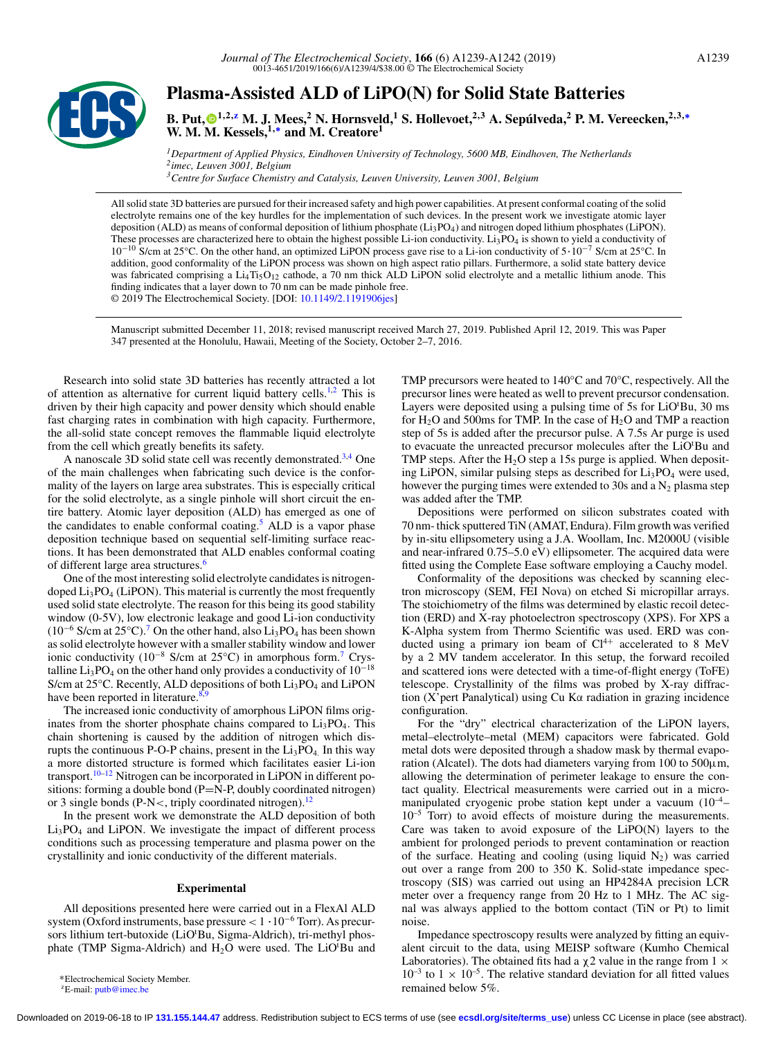

## **Plasma-Assisted ALD of LiPO(N) for Solid State Batteries**

**B. Put, 1,2,z M. J. Mees,<sup>2</sup> N. Hornsveld,1 S. Hollevoet,2,3 A. Sepúlveda,<sup>2</sup> P. M. Vereecken,2,3,<sup>∗</sup> W. M. [M.](#page-4-0) Kessels,1,<sup>∗</sup> and M. Creatore1**

*1Department of Applied Physics, Eindhoven University of Technology, 5600 MB, Eindhoven, The Netherlands 2imec, Leuven 3001, Belgium 3Centre for Surface Chemistry and Catalysis, Leuven University, Leuven 3001, Belgium*

All solid state 3D batteries are pursued for their increased safety and high power capabilities. At present conformal coating of the solid electrolyte remains one of the key hurdles for the implementation of such devices. In the present work we investigate atomic layer deposition (ALD) as means of conformal deposition of lithium phosphate ( $Li_3PO_4$ ) and nitrogen doped lithium phosphates (LiPON). These processes are characterized here to obtain the highest possible Li-ion conductivity. Li<sub>3</sub>PO<sub>4</sub> is shown to yield a conductivity of 10<sup>-10</sup> S/cm at 25°C. On the other hand, an optimized LiPON process gave rise to a Li-ion conductivity of 5·10<sup>-7</sup> S/cm at 25°C. In addition, good conformality of the LiPON process was shown on high aspect ratio pillars. Furthermore, a solid state battery device was fabricated comprising a Li<sub>4</sub>Ti<sub>5</sub>O<sub>12</sub> cathode, a 70 nm thick ALD LiPON solid electrolyte and a metallic lithium anode. This finding indicates that a layer down to 70 nm can be made pinhole free. © 2019 The Electrochemical Society. [DOI: [10.1149/2.1191906jes\]](http://dx.doi.org/10.1149/2.1191906jes)

Manuscript submitted December 11, 2018; revised manuscript received March 27, 2019. Published April 12, 2019. This was Paper 347 presented at the Honolulu, Hawaii, Meeting of the Society, October 2–7, 2016.

Research into solid state 3D batteries has recently attracted a lot of attention as alternative for current liquid battery cells.<sup>1,2</sup> This is driven by their high capacity and power density which should enable fast charging rates in combination with high capacity. Furthermore, the all-solid state concept removes the flammable liquid electrolyte from the cell which greatly benefits its safety.

A nanoscale 3D solid state cell was recently demonstrated.<sup>[3,4](#page-4-0)</sup> One of the main challenges when fabricating such device is the conformality of the layers on large area substrates. This is especially critical for the solid electrolyte, as a single pinhole will short circuit the entire battery. Atomic layer deposition (ALD) has emerged as one of the candidates to enable conformal coating.<sup>5</sup> ALD is a vapor phase deposition technique based on sequential self-limiting surface reactions. It has been demonstrated that ALD enables conformal coating of different large area structures.<sup>[6](#page-4-0)</sup>

One of the most interesting solid electrolyte candidates is nitrogendoped  $Li<sub>3</sub>PO<sub>4</sub>$  (LiPON). This material is currently the most frequently used solid state electrolyte. The reason for this being its good stability window (0-5V), low electronic leakage and good Li-ion conductivity ( $10^{-6}$  S/cm at  $25^{\circ}$ C).<sup>[7](#page-4-0)</sup> On the other hand, also Li<sub>3</sub>PO<sub>4</sub> has been shown as solid electrolyte however with a smaller stability window and lower ionic conductivity (10−<sup>8</sup> S/cm at 25°C) in amorphous form[.7](#page-4-0) Crystalline Li<sub>3</sub>PO<sub>4</sub> on the other hand only provides a conductivity of  $10^{-18}$ S/cm at 25°C. Recently, ALD depositions of both Li<sub>3</sub>PO<sub>4</sub> and LiPON have been reported in literature. $8,9$ 

The increased ionic conductivity of amorphous LiPON films originates from the shorter phosphate chains compared to  $Li<sub>3</sub>PO<sub>4</sub>$ . This chain shortening is caused by the addition of nitrogen which disrupts the continuous P-O-P chains, present in the  $Li<sub>3</sub>PO<sub>4</sub>$ . In this way a more distorted structure is formed which facilitates easier Li-ion transport.<sup>10–12</sup> Nitrogen can be incorporated in LiPON in different positions: forming a double bond (P=N-P, doubly coordinated nitrogen) or 3 single bonds (P-N $<$ , triply coordinated nitrogen).<sup>12</sup>

In the present work we demonstrate the ALD deposition of both  $Li<sub>3</sub>PO<sub>4</sub>$  and LiPON. We investigate the impact of different process conditions such as processing temperature and plasma power on the crystallinity and ionic conductivity of the different materials.

#### **Experimental**

All depositions presented here were carried out in a FlexAl ALD system (Oxford instruments, base pressure  $< 1 \cdot 10^{-6}$  Torr). As precursors lithium tert-butoxide (LiO'Bu, Sigma-Aldrich), tri-methyl phosphate (TMP Sigma-Aldrich) and  $H_2O$  were used. The LiO'Bu and

TMP precursors were heated to 140°C and 70°C, respectively. All the precursor lines were heated as well to prevent precursor condensation. Layers were deposited using a pulsing time of 5s for LiOtBu, 30 ms for  $H_2O$  and 500ms for TMP. In the case of  $H_2O$  and TMP a reaction step of 5s is added after the precursor pulse. A 7.5s Ar purge is used to evacuate the unreacted precursor molecules after the LiO'Bu and TMP steps. After the  $H_2O$  step a 15s purge is applied. When depositing LiPON, similar pulsing steps as described for  $Li<sub>3</sub>PO<sub>4</sub>$  were used, however the purging times were extended to 30s and a  $N_2$  plasma step was added after the TMP.

Depositions were performed on silicon substrates coated with 70 nm- thick sputtered TiN (AMAT, Endura). Film growth was verified by in-situ ellipsometery using a J.A. Woollam, Inc. M2000U (visible and near-infrared 0.75–5.0 eV) ellipsometer. The acquired data were fitted using the Complete Ease software employing a Cauchy model.

Conformality of the depositions was checked by scanning electron microscopy (SEM, FEI Nova) on etched Si micropillar arrays. The stoichiometry of the films was determined by elastic recoil detection (ERD) and X-ray photoelectron spectroscopy (XPS). For XPS a K-Alpha system from Thermo Scientific was used. ERD was conducted using a primary ion beam of  $Cl<sup>4+</sup>$  accelerated to 8 MeV by a 2 MV tandem accelerator. In this setup, the forward recoiled and scattered ions were detected with a time-of-flight energy (ToFE) telescope. Crystallinity of the films was probed by X-ray diffraction (X'pert Panalytical) using Cu Kα radiation in grazing incidence configuration.

For the "dry" electrical characterization of the LiPON layers, metal–electrolyte–metal (MEM) capacitors were fabricated. Gold metal dots were deposited through a shadow mask by thermal evaporation (Alcatel). The dots had diameters varying from 100 to  $500 \mu m$ , allowing the determination of perimeter leakage to ensure the contact quality. Electrical measurements were carried out in a micromanipulated cryogenic probe station kept under a vacuum  $(10^{-4} 10^{-5}$  Torr) to avoid effects of moisture during the measurements. Care was taken to avoid exposure of the LiPO(N) layers to the ambient for prolonged periods to prevent contamination or reaction of the surface. Heating and cooling (using liquid  $N_2$ ) was carried out over a range from 200 to 350 K. Solid-state impedance spectroscopy (SIS) was carried out using an HP4284A precision LCR meter over a frequency range from 20 Hz to 1 MHz. The AC signal was always applied to the bottom contact (TiN or Pt) to limit noise.

Impedance spectroscopy results were analyzed by fitting an equivalent circuit to the data, using MEISP software (Kumho Chemical Laboratories). The obtained fits had a  $\chi$  2 value in the range from 1  $\times$  $10^{-3}$  to  $1 \times 10^{-5}$ . The relative standard deviation for all fitted values remained below 5%.

<sup>∗</sup>Electrochemical Society Member.

 $E$ -mail: [putb@imec.be](mailto:putb@imec.be)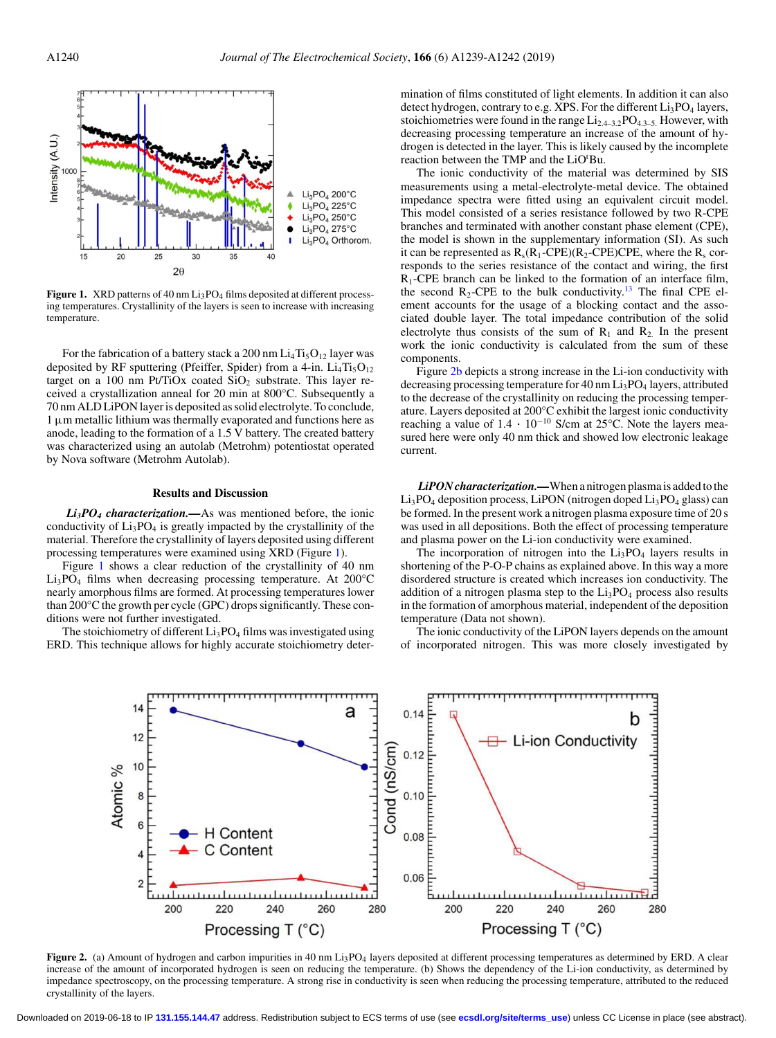

Figure 1. XRD patterns of 40 nm Li<sub>3</sub>PO<sub>4</sub> films deposited at different processing temperatures. Crystallinity of the layers is seen to increase with increasing temperature.

For the fabrication of a battery stack a 200 nm  $Li<sub>4</sub>Ti<sub>5</sub>O<sub>12</sub>$  layer was deposited by RF sputtering (Pfeiffer, Spider) from a 4-in.  $Li_4Ti_5O_{12}$ target on a 100 nm Pt/TiOx coated  $SiO<sub>2</sub>$  substrate. This layer received a crystallization anneal for 20 min at 800°C. Subsequently a 70 nm ALD LiPON layer is deposited as solid electrolyte. To conclude,  $1 \mu$ m metallic lithium was thermally evaporated and functions here as anode, leading to the formation of a 1.5 V battery. The created battery was characterized using an autolab (Metrohm) potentiostat operated by Nova software (Metrohm Autolab).

#### **Results and Discussion**

*Li3PO4 characterization.—*As was mentioned before, the ionic conductivity of  $Li<sub>3</sub>PO<sub>4</sub>$  is greatly impacted by the crystallinity of the material. Therefore the crystallinity of layers deposited using different processing temperatures were examined using XRD (Figure 1).

Figure 1 shows a clear reduction of the crystallinity of 40 nm Li3PO4 films when decreasing processing temperature. At 200°C nearly amorphous films are formed. At processing temperatures lower than 200°C the growth per cycle (GPC) drops significantly. These conditions were not further investigated.

The stoichiometry of different  $Li<sub>3</sub>PO<sub>4</sub>$  films was investigated using ERD. This technique allows for highly accurate stoichiometry determination of films constituted of light elements. In addition it can also detect hydrogen, contrary to e.g. XPS. For the different  $Li<sub>3</sub>PO<sub>4</sub>$  layers, stoichiometries were found in the range  $Li_{2,4-3,2}PO_{4,3-5}$ . However, with decreasing processing temperature an increase of the amount of hydrogen is detected in the layer. This is likely caused by the incomplete reaction between the TMP and the LiO<sup>t</sup>Bu.

The ionic conductivity of the material was determined by SIS measurements using a metal-electrolyte-metal device. The obtained impedance spectra were fitted using an equivalent circuit model. This model consisted of a series resistance followed by two R-CPE branches and terminated with another constant phase element (CPE), the model is shown in the supplementary information (SI). As such it can be represented as  $R_s(R_1$ -CPE)( $R_2$ -CPE)CPE, where the  $R_s$  corresponds to the series resistance of the contact and wiring, the first  $R_1$ -CPE branch can be linked to the formation of an interface film, the second  $R_2$ -CPE to the bulk conductivity.<sup>13</sup> The final CPE element accounts for the usage of a blocking contact and the associated double layer. The total impedance contribution of the solid electrolyte thus consists of the sum of  $R_1$  and  $R_2$ . In the present work the ionic conductivity is calculated from the sum of these components.

Figure 2b depicts a strong increase in the Li-ion conductivity with decreasing processing temperature for 40 nm Li<sub>3</sub>PO<sub>4</sub> layers, attributed to the decrease of the crystallinity on reducing the processing temperature. Layers deposited at 200°C exhibit the largest ionic conductivity reaching a value of  $1.4 \cdot 10^{-10}$  S/cm at 25°C. Note the layers measured here were only 40 nm thick and showed low electronic leakage current.

*LiPON characterization.—*When a nitrogen plasma is added to the  $Li<sub>3</sub>PO<sub>4</sub>$  deposition process, LiPON (nitrogen doped  $Li<sub>3</sub>PO<sub>4</sub>$  glass) can be formed. In the present work a nitrogen plasma exposure time of 20 s was used in all depositions. Both the effect of processing temperature and plasma power on the Li-ion conductivity were examined.

The incorporation of nitrogen into the  $Li<sub>3</sub>PO<sub>4</sub>$  layers results in shortening of the P-O-P chains as explained above. In this way a more disordered structure is created which increases ion conductivity. The addition of a nitrogen plasma step to the  $Li<sub>3</sub>PO<sub>4</sub>$  process also results in the formation of amorphous material, independent of the deposition temperature (Data not shown).

The ionic conductivity of the LiPON layers depends on the amount of incorporated nitrogen. This was more closely investigated by



Figure 2. (a) Amount of hydrogen and carbon impurities in 40 nm Li<sub>3</sub>PO<sub>4</sub> layers deposited at different processing temperatures as determined by ERD. A clear increase of the amount of incorporated hydrogen is seen on reducing the temperature. (b) Shows the dependency of the Li-ion conductivity, as determined by impedance spectroscopy, on the processing temperature. A strong rise in conductivity is seen when reducing the processing temperature, attributed to the reduced crystallinity of the layers.

Downloaded on 2019-06-18 to IP **131.155.144.47** address. Redistribution subject to ECS terms of use (see **[ecsdl.org/site/terms\\_use](http://ecsdl.org/site/terms_use)**) unless CC License in place (see abstract).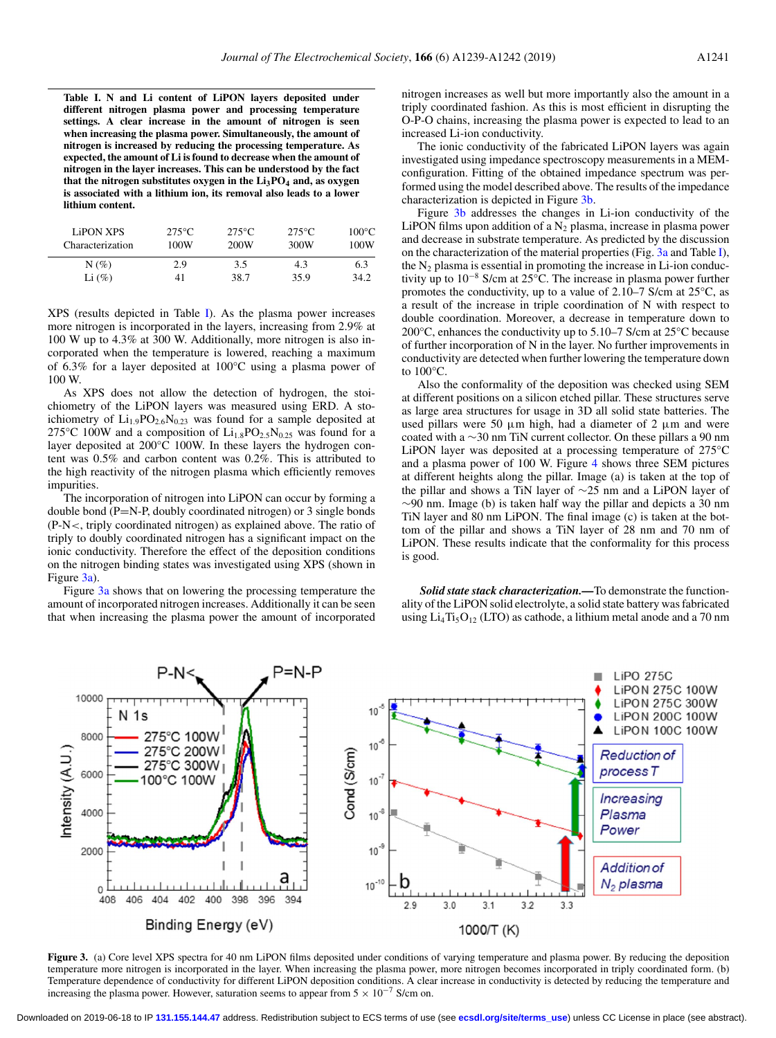**Table I. N and Li content of LiPON layers deposited under different nitrogen plasma power and processing temperature settings. A clear increase in the amount of nitrogen is seen when increasing the plasma power. Simultaneously, the amount of nitrogen is increased by reducing the processing temperature. As expected, the amount of Li is found to decrease when the amount of nitrogen in the layer increases. This can be understood by the fact** that the nitrogen substitutes oxygen in the  $Li<sub>3</sub>PO<sub>4</sub>$  and, as oxygen **is associated with a lithium ion, its removal also leads to a lower lithium content.**

| <b>LiPON XPS</b><br>Characterization | $275^{\circ}$ C<br>100W | $275^{\circ}$ C<br>200W | $275^{\circ}$ C<br>300W | $100^{\circ}$ C<br>100W |
|--------------------------------------|-------------------------|-------------------------|-------------------------|-------------------------|
| $N(\%)$                              | 2.9                     | 3.5                     | 4.3                     | 6.3                     |
| Li $(\%)$                            | 41                      | 38.7                    | 35.9                    | 34.2                    |

XPS (results depicted in Table I). As the plasma power increases more nitrogen is incorporated in the layers, increasing from 2.9% at 100 W up to 4.3% at 300 W. Additionally, more nitrogen is also incorporated when the temperature is lowered, reaching a maximum of 6.3% for a layer deposited at 100°C using a plasma power of 100 W.

As XPS does not allow the detection of hydrogen, the stoichiometry of the LiPON layers was measured using ERD. A stoichiometry of  $Li_{1.9}PO_{2.6}N_{0.23}$  was found for a sample deposited at 275°C 100W and a composition of  $Li_{1.8}PO_{2.5}N_{0.25}$  was found for a layer deposited at 200°C 100W. In these layers the hydrogen content was 0.5% and carbon content was 0.2%. This is attributed to the high reactivity of the nitrogen plasma which efficiently removes impurities.

The incorporation of nitrogen into LiPON can occur by forming a double bond  $(P=N-P,$  doubly coordinated nitrogen) or 3 single bonds (P-N<, triply coordinated nitrogen) as explained above. The ratio of triply to doubly coordinated nitrogen has a significant impact on the ionic conductivity. Therefore the effect of the deposition conditions on the nitrogen binding states was investigated using XPS (shown in Figure 3a).

Figure 3a shows that on lowering the processing temperature the amount of incorporated nitrogen increases. Additionally it can be seen that when increasing the plasma power the amount of incorporated nitrogen increases as well but more importantly also the amount in a triply coordinated fashion. As this is most efficient in disrupting the O-P-O chains, increasing the plasma power is expected to lead to an increased Li-ion conductivity.

The ionic conductivity of the fabricated LiPON layers was again investigated using impedance spectroscopy measurements in a MEMconfiguration. Fitting of the obtained impedance spectrum was performed using the model described above. The results of the impedance characterization is depicted in Figure 3b.

Figure 3b addresses the changes in Li-ion conductivity of the LiPON films upon addition of a  $N_2$  plasma, increase in plasma power and decrease in substrate temperature. As predicted by the discussion on the characterization of the material properties (Fig. 3a and Table I), the  $N_2$  plasma is essential in promoting the increase in Li-ion conductivity up to 10−<sup>8</sup> S/cm at 25°C. The increase in plasma power further promotes the conductivity, up to a value of 2.10–7 S/cm at 25°C, as a result of the increase in triple coordination of N with respect to double coordination. Moreover, a decrease in temperature down to 200°C, enhances the conductivity up to 5.10–7 S/cm at 25°C because of further incorporation of N in the layer. No further improvements in conductivity are detected when further lowering the temperature down to 100°C.

Also the conformality of the deposition was checked using SEM at different positions on a silicon etched pillar. These structures serve as large area structures for usage in 3D all solid state batteries. The used pillars were 50  $\mu$ m high, had a diameter of 2  $\mu$ m and were coated with a ∼30 nm TiN current collector. On these pillars a 90 nm LiPON layer was deposited at a processing temperature of 275°C and a plasma power of 100 W. Figure [4](#page-4-0) shows three SEM pictures at different heights along the pillar. Image (a) is taken at the top of the pillar and shows a TiN layer of ∼25 nm and a LiPON layer of ∼90 nm. Image (b) is taken half way the pillar and depicts a 30 nm TiN layer and 80 nm LiPON. The final image (c) is taken at the bottom of the pillar and shows a TiN layer of 28 nm and 70 nm of LiPON. These results indicate that the conformality for this process is good.

*Solid state stack characterization.—*To demonstrate the functionality of the LiPON solid electrolyte, a solid state battery was fabricated using  $Li_4Ti_5O_{12}$  (LTO) as cathode, a lithium metal anode and a 70 nm



**Figure 3.** (a) Core level XPS spectra for 40 nm LiPON films deposited under conditions of varying temperature and plasma power. By reducing the deposition temperature more nitrogen is incorporated in the layer. When increasing the plasma power, more nitrogen becomes incorporated in triply coordinated form. (b) Temperature dependence of conductivity for different LiPON deposition conditions. A clear increase in conductivity is detected by reducing the temperature and increasing the plasma power. However, saturation seems to appear from  $5 \times 10^{-7}$  S/cm on.

Downloaded on 2019-06-18 to IP **131.155.144.47** address. Redistribution subject to ECS terms of use (see **[ecsdl.org/site/terms\\_use](http://ecsdl.org/site/terms_use)**) unless CC License in place (see abstract).